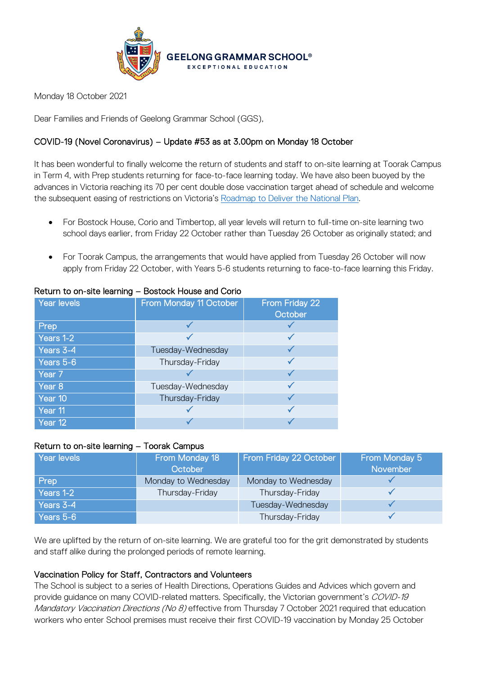

Monday 18 October 2021

Dear Families and Friends of Geelong Grammar School (GGS),

# COVID-19 (Novel Coronavirus) – Update #53 as at 3.00pm on Monday 18 October

It has been wonderful to finally welcome the return of students and staff to on-site learning at Toorak Campus in Term 4, with Prep students returning for face-to-face learning today. We have also been buoyed by the advances in Victoria reaching its 70 per cent double dose vaccination target ahead of schedule and welcome the subsequent easing of restrictions on Victoria's [Roadmap to Deliver the National Plan.](https://www.coronavirus.vic.gov.au/victorias-roadmap)

- For Bostock House, Corio and Timbertop, all year levels will return to full-time on-site learning two school days earlier, from Friday 22 October rather than Tuesday 26 October as originally stated; and
- For Toorak Campus, the arrangements that would have applied from Tuesday 26 October will now apply from Friday 22 October, with Years 5-6 students returning to face-to-face learning this Friday.

| Year levels       | From Monday 11 October | From Friday 22<br>October |
|-------------------|------------------------|---------------------------|
| Prep              |                        |                           |
| Years $1-2$       |                        |                           |
| Years 3-4         | Tuesday-Wednesday      |                           |
| Years 5-6         | Thursday-Friday        |                           |
| Year <sub>7</sub> |                        |                           |
| Year 8            | Tuesday-Wednesday      |                           |
| Year 10           | Thursday-Friday        |                           |
| Year 11           |                        |                           |
| Year 12           |                        |                           |

### Return to on-site learning – Bostock House and Corio

#### Return to on-site learning – Toorak Campus

| Year levels | From Monday 18<br>October | From Friday 22 October | From Monday 5<br>November |
|-------------|---------------------------|------------------------|---------------------------|
| <b>Prep</b> | Monday to Wednesday       | Monday to Wednesday    |                           |
| Years 1-2   | Thursday-Friday           | Thursday-Friday        |                           |
| Years 3-4   |                           | Tuesday-Wednesday      |                           |
| Years 5-6   |                           | Thursday-Friday        |                           |

We are uplifted by the return of on-site learning. We are grateful too for the grit demonstrated by students and staff alike during the prolonged periods of remote learning.

## Vaccination Policy for Staff, Contractors and Volunteers

The School is subject to a series of Health Directions, Operations Guides and Advices which govern and provide guidance on many COVID-related matters. Specifically, the Victorian government's COVID-19 Mandatory Vaccination Directions (No 8) effective from Thursday 7 October 2021 required that education workers who enter School premises must receive their first COVID-19 vaccination by Monday 25 October